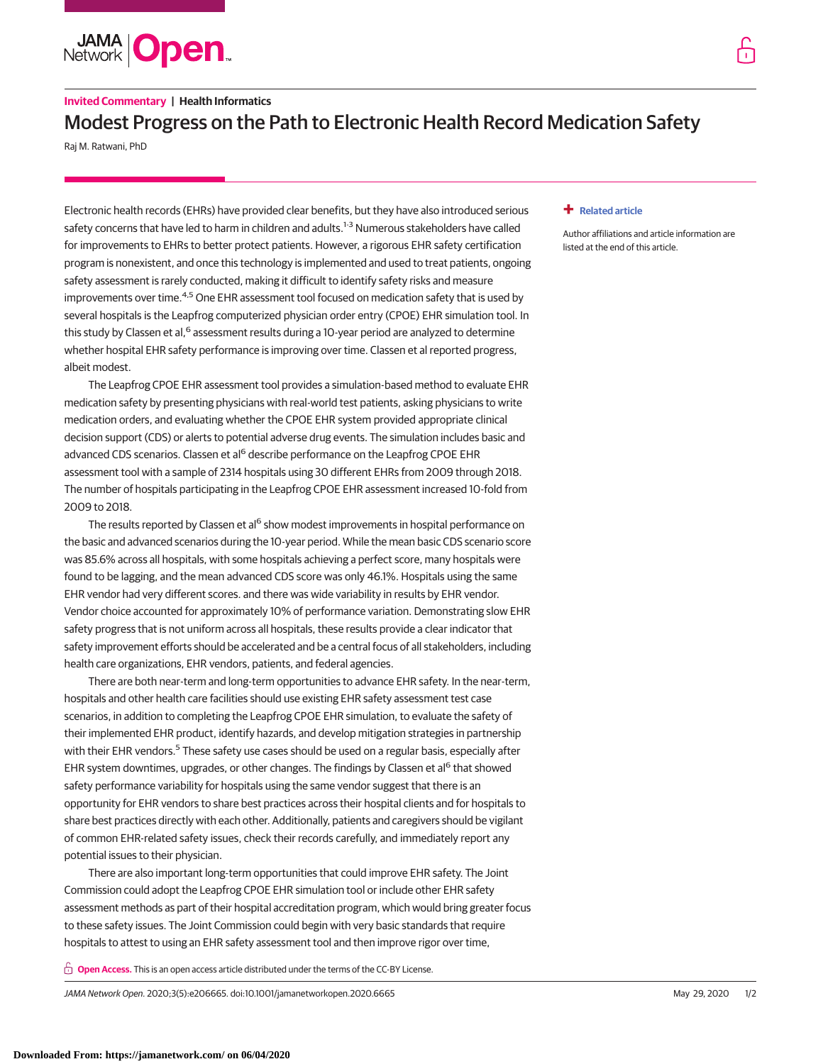

Raj M. Ratwani, PhD

Electronic health records (EHRs) have provided clear benefits, but they have also introduced serious safety concerns that have led to harm in children and adults.<sup>1-3</sup> Numerous stakeholders have called for improvements to EHRs to better protect patients. However, a rigorous EHR safety certification program is nonexistent, and once this technology is implemented and used to treat patients, ongoing safety assessment is rarely conducted, making it difficult to identify safety risks and measure improvements over time.<sup>4,5</sup> One EHR assessment tool focused on medication safety that is used by several hospitals is the Leapfrog computerized physician order entry (CPOE) EHR simulation tool. In this study by Classen et al,<sup>6</sup> assessment results during a 10-year period are analyzed to determine whether hospital EHR safety performance is improving over time. Classen et al reported progress, albeit modest.

The Leapfrog CPOE EHR assessment tool provides a simulation-based method to evaluate EHR medication safety by presenting physicians with real-world test patients, asking physicians to write medication orders, and evaluating whether the CPOE EHR system provided appropriate clinical decision support (CDS) or alerts to potential adverse drug events. The simulation includes basic and advanced CDS scenarios. Classen et al<sup>6</sup> describe performance on the Leapfrog CPOE EHR assessment tool with a sample of 2314 hospitals using 30 different EHRs from 2009 through 2018. The number of hospitals participating in the Leapfrog CPOE EHR assessment increased 10-fold from 2009 to 2018.

The results reported by Classen et al<sup>6</sup> show modest improvements in hospital performance on the basic and advanced scenarios during the 10-year period. While the mean basic CDS scenario score was 85.6% across all hospitals, with some hospitals achieving a perfect score, many hospitals were found to be lagging, and the mean advanced CDS score was only 46.1%. Hospitals using the same EHR vendor had very different scores. and there was wide variability in results by EHR vendor. Vendor choice accounted for approximately 10% of performance variation. Demonstrating slow EHR safety progress that is not uniform across all hospitals, these results provide a clear indicator that safety improvement efforts should be accelerated and be a central focus of all stakeholders, including health care organizations, EHR vendors, patients, and federal agencies.

There are both near-term and long-term opportunities to advance EHR safety. In the near-term, hospitals and other health care facilities should use existing EHR safety assessment test case scenarios, in addition to completing the Leapfrog CPOE EHR simulation, to evaluate the safety of their implemented EHR product, identify hazards, and develop mitigation strategies in partnership with their EHR vendors.<sup>5</sup> These safety use cases should be used on a regular basis, especially after EHR system downtimes, upgrades, or other changes. The findings by Classen et al<sup>6</sup> that showed safety performance variability for hospitals using the same vendor suggest that there is an opportunity for EHR vendors to share best practices across their hospital clients and for hospitals to share best practices directly with each other. Additionally, patients and caregivers should be vigilant of common EHR-related safety issues, check their records carefully, and immediately report any potential issues to their physician.

There are also important long-term opportunities that could improve EHR safety. The Joint Commission could adopt the Leapfrog CPOE EHR simulation tool or include other EHR safety assessment methods as part of their hospital accreditation program, which would bring greater focus to these safety issues. The Joint Commission could begin with very basic standards that require hospitals to attest to using an EHR safety assessment tool and then improve rigor over time,

**Open Access.** This is an open access article distributed under the terms of the CC-BY License.

JAMA Network Open. 2020;3(5):e206665. doi:10.1001/jamanetworkopen.2020.6665 (Reprinted) May 29, 2020 1/2

## **+ [Related article](https://jama.jamanetwork.com/article.aspx?doi=10.1001/jamanetworkopen.2020.5547&utm_campaign=articlePDF%26utm_medium=articlePDFlink%26utm_source=articlePDF%26utm_content=jamanetworkopen.2020.6665)**

Author affiliations and article information are listed at the end of this article.